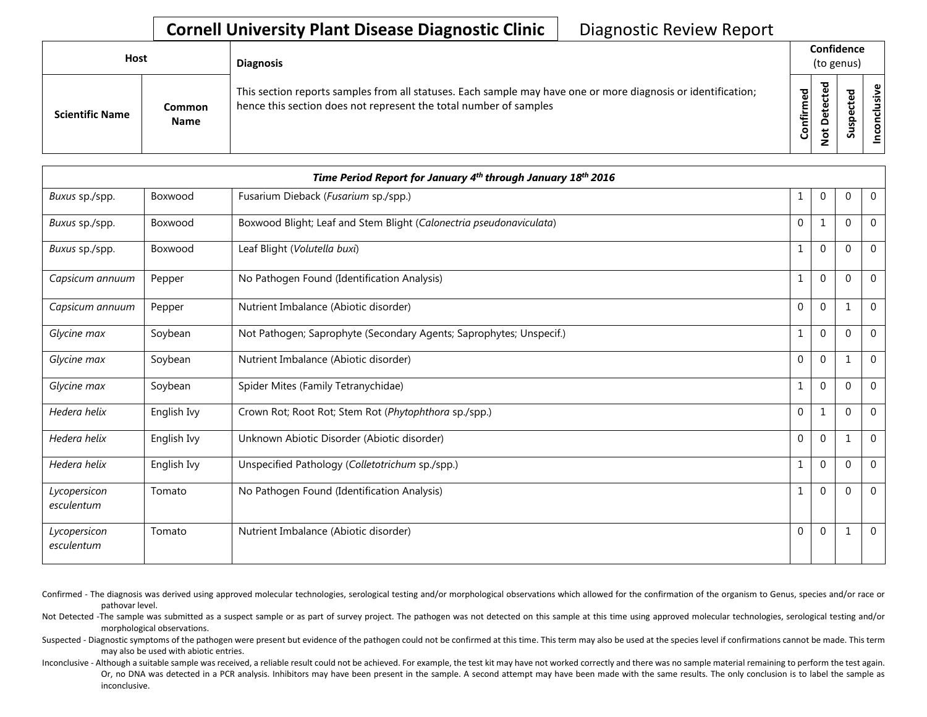## **Cornell University Plant Disease Diagnostic Clinic** | Diagnostic Review Report

| Host                   |                       | <b>Diagnosis</b>                                                                                                                                                                   |           | Confidence<br>(to genus) |   |                      |
|------------------------|-----------------------|------------------------------------------------------------------------------------------------------------------------------------------------------------------------------------|-----------|--------------------------|---|----------------------|
| <b>Scientific Name</b> | Common<br><b>Name</b> | This section reports samples from all statuses. Each sample may have one or more diagnosis or identification;<br>hence this section does not represent the total number of samples | Confirmed | ъ<br>۵<br>پ<br>ۊ         | ທ | ω<br>usiv<br>᠊ᠣ<br>ē |

| Time Period Report for January 4th through January 18th 2016 |             |                                                                     |              |              |          |                |  |
|--------------------------------------------------------------|-------------|---------------------------------------------------------------------|--------------|--------------|----------|----------------|--|
| Buxus sp./spp.                                               | Boxwood     | Fusarium Dieback (Fusarium sp./spp.)                                | 1            | $\mathbf{0}$ | $\Omega$ | $\overline{0}$ |  |
| Buxus sp./spp.                                               | Boxwood     | Boxwood Blight; Leaf and Stem Blight (Calonectria pseudonaviculata) | $\mathbf{0}$ | 1            | $\Omega$ | $\Omega$       |  |
| Buxus sp./spp.                                               | Boxwood     | Leaf Blight (Volutella buxi)                                        | 1            | $\mathbf{0}$ | $\Omega$ | $\mathbf 0$    |  |
| Capsicum annuum                                              | Pepper      | No Pathogen Found (Identification Analysis)                         |              | $\mathbf{0}$ | $\Omega$ | $\mathbf 0$    |  |
| Capsicum annuum                                              | Pepper      | Nutrient Imbalance (Abiotic disorder)                               | $\Omega$     | $\Omega$     |          | $\Omega$       |  |
| Glycine max                                                  | Soybean     | Not Pathogen; Saprophyte (Secondary Agents; Saprophytes; Unspecif.) | 1            | $\mathbf{0}$ | $\Omega$ | $\mathbf{0}$   |  |
| Glycine max                                                  | Soybean     | Nutrient Imbalance (Abiotic disorder)                               | 0            | $\mathbf{0}$ |          | $\mathbf{0}$   |  |
| Glycine max                                                  | Soybean     | Spider Mites (Family Tetranychidae)                                 | 1            | $\mathbf{0}$ | $\Omega$ | $\Omega$       |  |
| Hedera helix                                                 | English Ivy | Crown Rot; Root Rot; Stem Rot (Phytophthora sp./spp.)               | $\mathbf 0$  | 1            | $\Omega$ | $\mathbf 0$    |  |
| Hedera helix                                                 | English Ivy | Unknown Abiotic Disorder (Abiotic disorder)                         | $\mathbf{0}$ | $\mathbf{0}$ |          | $\mathbf{0}$   |  |
| Hedera helix                                                 | English Ivy | Unspecified Pathology (Colletotrichum sp./spp.)                     | 1            | $\Omega$     | $\Omega$ | $\mathbf{0}$   |  |
| Lycopersicon<br>esculentum                                   | Tomato      | No Pathogen Found (Identification Analysis)                         |              | $\Omega$     | $\Omega$ | $\Omega$       |  |
| Lycopersicon<br>esculentum                                   | Tomato      | Nutrient Imbalance (Abiotic disorder)                               | 0            | $\mathbf{0}$ |          | $\mathbf 0$    |  |

Confirmed - The diagnosis was derived using approved molecular technologies, serological testing and/or morphological observations which allowed for the confirmation of the organism to Genus, species and/or race or pathovar level.

Not Detected -The sample was submitted as a suspect sample or as part of survey project. The pathogen was not detected on this sample at this time using approved molecular technologies, serological testing and/or morphological observations.

Suspected - Diagnostic symptoms of the pathogen were present but evidence of the pathogen could not be confirmed at this time. This term may also be used at the species level if confirmations cannot be made. This term may also be used with abiotic entries.

Inconclusive - Although a suitable sample was received, a reliable result could not be achieved. For example, the test kit may have not worked correctly and there was no sample material remaining to perform the test again. Or, no DNA was detected in a PCR analysis. Inhibitors may have been present in the sample. A second attempt may have been made with the same results. The only conclusion is to label the sample as inconclusive.